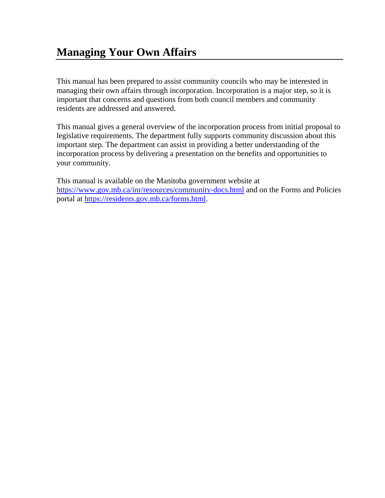This manual has been prepared to assist community councils who may be interested in managing their own affairs through incorporation. Incorporation is a major step, so it is important that concerns and questions from both council members and community residents are addressed and answered.

This manual gives a general overview of the incorporation process from initial proposal to legislative requirements. The department fully supports community discussion about this important step. The department can assist in providing a better understanding of the incorporation process by delivering a presentation on the benefits and opportunities to your community.

This manual is available on the Manitoba government website at <https://www.gov.mb.ca/inr/resources/community-docs.html> and on the Forms and Policies portal at [https://residents.gov.mb.ca/forms.html.](https://residents.gov.mb.ca/forms.html)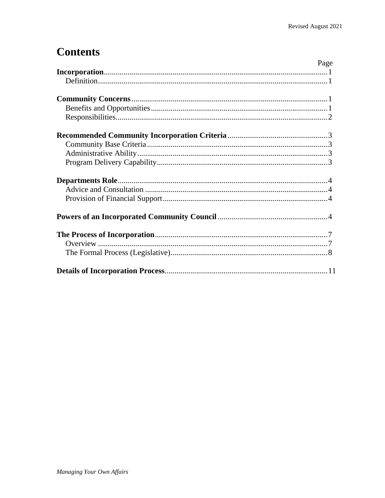# **Contents**

| Page |
|------|
|      |
|      |
|      |
|      |
|      |
|      |
|      |
|      |
|      |
|      |
|      |
|      |
|      |
|      |
|      |
|      |
|      |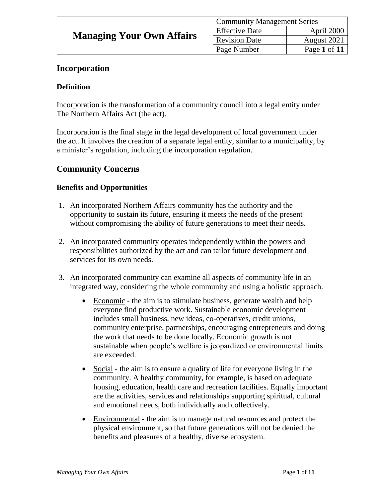| <b>Community Management Series</b> |              |  |  |
|------------------------------------|--------------|--|--|
| <b>Effective Date</b>              | April 2000   |  |  |
| <b>Revision Date</b>               | August 2021  |  |  |
| Page Number                        | Page 1 of 11 |  |  |

### **Incorporation**

### **Definition**

Incorporation is the transformation of a community council into a legal entity under The Northern Affairs Act (the act).

Incorporation is the final stage in the legal development of local government under the act. It involves the creation of a separate legal entity, similar to a municipality, by a minister's regulation, including the incorporation regulation.

### **Community Concerns**

### **Benefits and Opportunities**

- 1. An incorporated Northern Affairs community has the authority and the opportunity to sustain its future, ensuring it meets the needs of the present without compromising the ability of future generations to meet their needs.
- 2. An incorporated community operates independently within the powers and responsibilities authorized by the act and can tailor future development and services for its own needs.
- 3. An incorporated community can examine all aspects of community life in an integrated way, considering the whole community and using a holistic approach.
	- Economic the aim is to stimulate business, generate wealth and help everyone find productive work. Sustainable economic development includes small business, new ideas, co-operatives, credit unions, community enterprise, partnerships, encouraging entrepreneurs and doing the work that needs to be done locally. Economic growth is not sustainable when people's welfare is jeopardized or environmental limits are exceeded.
	- Social the aim is to ensure a quality of life for everyone living in the community. A healthy community, for example, is based on adequate housing, education, health care and recreation facilities. Equally important are the activities, services and relationships supporting spiritual, cultural and emotional needs, both individually and collectively.
	- Environmental the aim is to manage natural resources and protect the physical environment, so that future generations will not be denied the benefits and pleasures of a healthy, diverse ecosystem.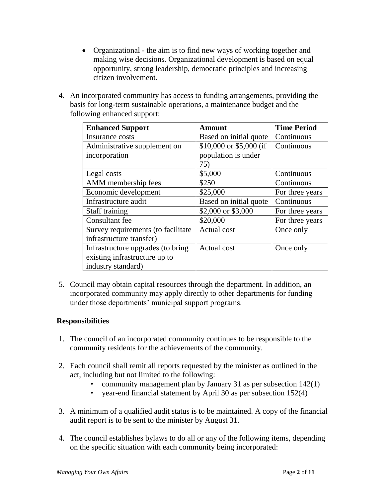- Organizational the aim is to find new ways of working together and making wise decisions. Organizational development is based on equal opportunity, strong leadership, democratic principles and increasing citizen involvement.
- 4. An incorporated community has access to funding arrangements, providing the basis for long-term sustainable operations, a maintenance budget and the following enhanced support:

| <b>Enhanced Support</b>            | <b>Amount</b>           | <b>Time Period</b> |
|------------------------------------|-------------------------|--------------------|
| Insurance costs                    | Based on initial quote  | Continuous         |
| Administrative supplement on       | \$10,000 or \$5,000 (if | Continuous         |
| incorporation                      | population is under     |                    |
|                                    | 75)                     |                    |
| Legal costs                        | \$5,000                 | Continuous         |
| AMM membership fees                | \$250                   | Continuous         |
| Economic development               | \$25,000                | For three years    |
| Infrastructure audit               | Based on initial quote  | Continuous         |
| Staff training                     | \$2,000 or \$3,000      | For three years    |
| Consultant fee                     | \$20,000                | For three years    |
| Survey requirements (to facilitate | <b>Actual</b> cost      | Once only          |
| infrastructure transfer)           |                         |                    |
| Infrastructure upgrades (to bring  | Actual cost             | Once only          |
| existing infrastructure up to      |                         |                    |
| industry standard)                 |                         |                    |

5. Council may obtain capital resources through the department. In addition, an incorporated community may apply directly to other departments for funding under those departments' municipal support programs.

### **Responsibilities**

- 1. The council of an incorporated community continues to be responsible to the community residents for the achievements of the community.
- 2. Each council shall remit all reports requested by the minister as outlined in the act, including but not limited to the following:
	- community management plan by January 31 as per subsection 142(1)
	- year-end financial statement by April 30 as per subsection 152(4)
- 3. A minimum of a qualified audit status is to be maintained. A copy of the financial audit report is to be sent to the minister by August 31.
- 4. The council establishes bylaws to do all or any of the following items, depending on the specific situation with each community being incorporated: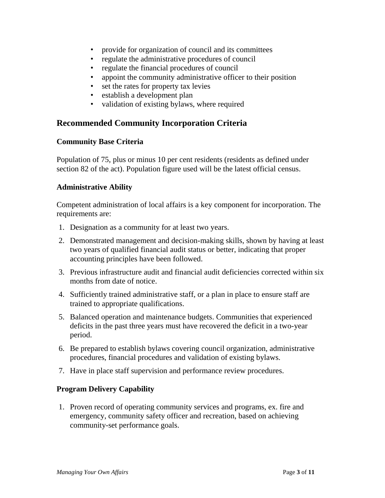- provide for organization of council and its committees
- regulate the administrative procedures of council
- regulate the financial procedures of council
- appoint the community administrative officer to their position
- set the rates for property tax levies
- establish a development plan
- validation of existing bylaws, where required

### **Recommended Community Incorporation Criteria**

### **Community Base Criteria**

Population of 75, plus or minus 10 per cent residents (residents as defined under section 82 of the act). Population figure used will be the latest official census.

### **Administrative Ability**

Competent administration of local affairs is a key component for incorporation. The requirements are:

- 1. Designation as a community for at least two years.
- 2. Demonstrated management and decision-making skills, shown by having at least two years of qualified financial audit status or better, indicating that proper accounting principles have been followed.
- 3. Previous infrastructure audit and financial audit deficiencies corrected within six months from date of notice.
- 4. Sufficiently trained administrative staff, or a plan in place to ensure staff are trained to appropriate qualifications.
- 5. Balanced operation and maintenance budgets. Communities that experienced deficits in the past three years must have recovered the deficit in a two-year period.
- 6. Be prepared to establish bylaws covering council organization, administrative procedures, financial procedures and validation of existing bylaws.
- 7. Have in place staff supervision and performance review procedures.

### **Program Delivery Capability**

1. Proven record of operating community services and programs, ex. fire and emergency, community safety officer and recreation, based on achieving community-set performance goals.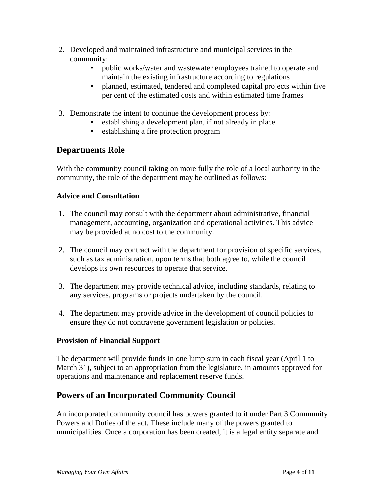- 2. Developed and maintained infrastructure and municipal services in the community:
	- public works/water and wastewater employees trained to operate and maintain the existing infrastructure according to regulations
	- planned, estimated, tendered and completed capital projects within five per cent of the estimated costs and within estimated time frames
- 3. Demonstrate the intent to continue the development process by:
	- establishing a development plan, if not already in place
	- establishing a fire protection program

### **Departments Role**

With the community council taking on more fully the role of a local authority in the community, the role of the department may be outlined as follows:

### **Advice and Consultation**

- 1. The council may consult with the department about administrative, financial management, accounting, organization and operational activities. This advice may be provided at no cost to the community.
- 2. The council may contract with the department for provision of specific services, such as tax administration, upon terms that both agree to, while the council develops its own resources to operate that service.
- 3. The department may provide technical advice, including standards, relating to any services, programs or projects undertaken by the council.
- 4. The department may provide advice in the development of council policies to ensure they do not contravene government legislation or policies.

### **Provision of Financial Support**

The department will provide funds in one lump sum in each fiscal year (April 1 to March 31), subject to an appropriation from the legislature, in amounts approved for operations and maintenance and replacement reserve funds.

### **Powers of an Incorporated Community Council**

An incorporated community council has powers granted to it under Part 3 Community Powers and Duties of the act. These include many of the powers granted to municipalities. Once a corporation has been created, it is a legal entity separate and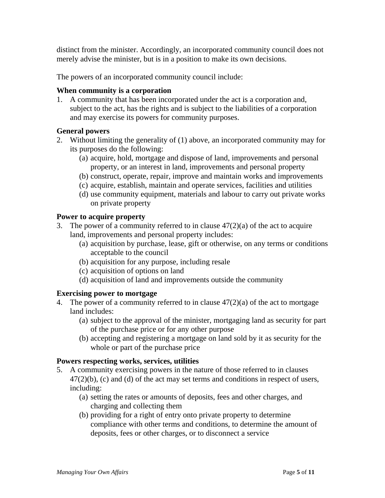distinct from the minister. Accordingly, an incorporated community council does not merely advise the minister, but is in a position to make its own decisions.

The powers of an incorporated community council include:

### **When community is a corporation**

1. A community that has been incorporated under the act is a corporation and, subject to the act, has the rights and is subject to the liabilities of a corporation and may exercise its powers for community purposes.

### **General powers**

- 2. Without limiting the generality of (1) above, an incorporated community may for its purposes do the following:
	- (a) acquire, hold, mortgage and dispose of land, improvements and personal property, or an interest in land, improvements and personal property
	- (b) construct, operate, repair, improve and maintain works and improvements
	- (c) acquire, establish, maintain and operate services, facilities and utilities
	- (d) use community equipment, materials and labour to carry out private works on private property

#### **Power to acquire property**

- 3. The power of a community referred to in clause  $47(2)(a)$  of the act to acquire land, improvements and personal property includes:
	- (a) acquisition by purchase, lease, gift or otherwise, on any terms or conditions acceptable to the council
	- (b) acquisition for any purpose, including resale
	- (c) acquisition of options on land
	- (d) acquisition of land and improvements outside the community

### **Exercising power to mortgage**

- 4. The power of a community referred to in clause 47(2)(a) of the act to mortgage land includes:
	- (a) subject to the approval of the minister, mortgaging land as security for part of the purchase price or for any other purpose
	- (b) accepting and registering a mortgage on land sold by it as security for the whole or part of the purchase price

#### **Powers respecting works, services, utilities**

- 5. A community exercising powers in the nature of those referred to in clauses  $47(2)(b)$ , (c) and (d) of the act may set terms and conditions in respect of users, including:
	- (a) setting the rates or amounts of deposits, fees and other charges, and charging and collecting them
	- (b) providing for a right of entry onto private property to determine compliance with other terms and conditions, to determine the amount of deposits, fees or other charges, or to disconnect a service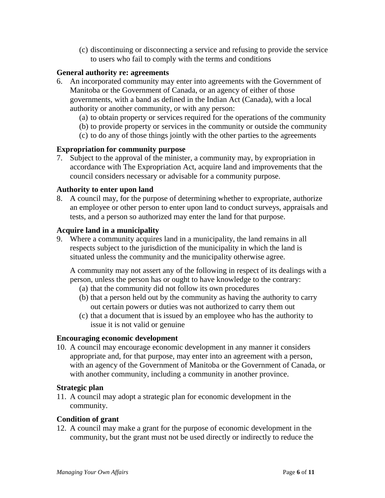(c) discontinuing or disconnecting a service and refusing to provide the service to users who fail to comply with the terms and conditions

### **General authority re: agreements**

- 6. An incorporated community may enter into agreements with the Government of Manitoba or the Government of Canada, or an agency of either of those governments, with a band as defined in the Indian Act (Canada), with a local authority or another community, or with any person:
	- (a) to obtain property or services required for the operations of the community
	- (b) to provide property or services in the community or outside the community
	- (c) to do any of those things jointly with the other parties to the agreements

#### **Expropriation for community purpose**

7. Subject to the approval of the minister, a community may, by expropriation in accordance with The Expropriation Act, acquire land and improvements that the council considers necessary or advisable for a community purpose.

#### **Authority to enter upon land**

8. A council may, for the purpose of determining whether to expropriate, authorize an employee or other person to enter upon land to conduct surveys, appraisals and tests, and a person so authorized may enter the land for that purpose.

#### **Acquire land in a municipality**

9. Where a community acquires land in a municipality, the land remains in all respects subject to the jurisdiction of the municipality in which the land is situated unless the community and the municipality otherwise agree.

A community may not assert any of the following in respect of its dealings with a person, unless the person has or ought to have knowledge to the contrary:

- (a) that the community did not follow its own procedures
- (b) that a person held out by the community as having the authority to carry out certain powers or duties was not authorized to carry them out
- (c) that a document that is issued by an employee who has the authority to issue it is not valid or genuine

#### **Encouraging economic development**

10. A council may encourage economic development in any manner it considers appropriate and, for that purpose, may enter into an agreement with a person, with an agency of the Government of Manitoba or the Government of Canada, or with another community, including a community in another province.

#### **Strategic plan**

11. A council may adopt a strategic plan for economic development in the community.

#### **Condition of grant**

12. A council may make a grant for the purpose of economic development in the community, but the grant must not be used directly or indirectly to reduce the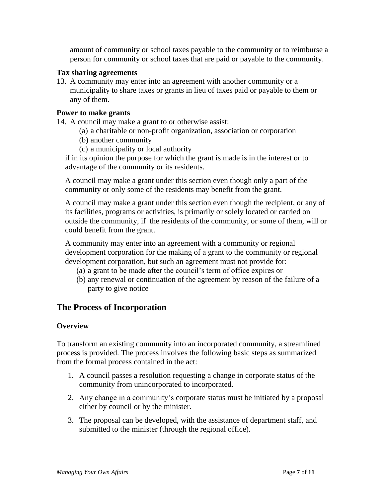amount of community or school taxes payable to the community or to reimburse a person for community or school taxes that are paid or payable to the community.

### **Tax sharing agreements**

13. A community may enter into an agreement with another community or a municipality to share taxes or grants in lieu of taxes paid or payable to them or any of them.

#### **Power to make grants**

- 14. A council may make a grant to or otherwise assist:
	- (a) a charitable or non-profit organization, association or corporation
	- (b) another community
	- (c) a municipality or local authority

if in its opinion the purpose for which the grant is made is in the interest or to advantage of the community or its residents.

A council may make a grant under this section even though only a part of the community or only some of the residents may benefit from the grant.

A council may make a grant under this section even though the recipient, or any of its facilities, programs or activities, is primarily or solely located or carried on outside the community, if the residents of the community, or some of them, will or could benefit from the grant.

A community may enter into an agreement with a community or regional development corporation for the making of a grant to the community or regional development corporation, but such an agreement must not provide for:

- (a) a grant to be made after the council's term of office expires or
- (b) any renewal or continuation of the agreement by reason of the failure of a party to give notice

### **The Process of Incorporation**

### **Overview**

To transform an existing community into an incorporated community, a streamlined process is provided. The process involves the following basic steps as summarized from the formal process contained in the act:

- 1. A council passes a resolution requesting a change in corporate status of the community from unincorporated to incorporated.
- 2. Any change in a community's corporate status must be initiated by a proposal either by council or by the minister.
- 3. The proposal can be developed, with the assistance of department staff, and submitted to the minister (through the regional office).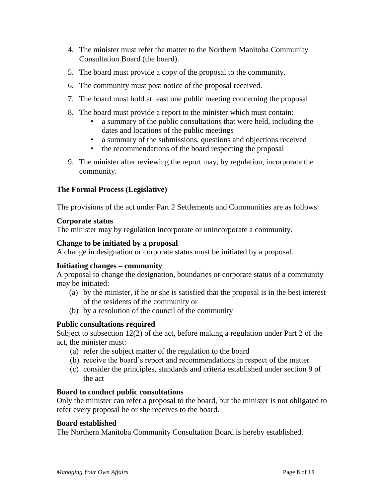- 4. The minister must refer the matter to the Northern Manitoba Community Consultation Board (the board).
- 5. The board must provide a copy of the proposal to the community.
- 6. The community must post notice of the proposal received.
- 7. The board must hold at least one public meeting concerning the proposal.
- 8. The board must provide a report to the minister which must contain:
	- *•* a summary of the public consultations that were held, including the dates and locations of the public meetings
	- *•* a summary of the submissions, questions and objections received
	- *•* the recommendations of the board respecting the proposal
- 9. The minister after reviewing the report may, by regulation, incorporate the community.

### **The Formal Process (Legislative)**

The provisions of the act under Part 2 Settlements and Communities are as follows:

### **Corporate status**

The minister may by regulation incorporate or unincorporate a community.

### **Change to be initiated by a proposal**

A change in designation or corporate status must be initiated by a proposal.

### **Initiating changes – community**

A proposal to change the designation, boundaries or corporate status of a community may be initiated:

- (a) by the minister, if he or she is satisfied that the proposal is in the best interest of the residents of the community or
- (b) by a resolution of the council of the community

### **Public consultations required**

Subject to subsection 12(2) of the act, before making a regulation under Part 2 of the act, the minister must:

- (a) refer the subject matter of the regulation to the board
- (b) receive the board's report and recommendations in respect of the matter
- (c) consider the principles, standards and criteria established under section 9 of the act

### **Board to conduct public consultations**

Only the minister can refer a proposal to the board, but the minister is not obligated to refer every proposal he or she receives to the board.

### **Board established**

The Northern Manitoba Community Consultation Board is hereby established.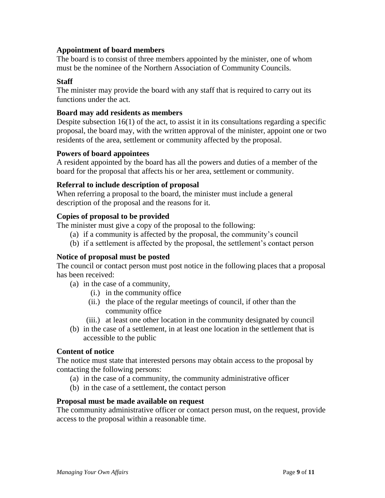### **Appointment of board members**

The board is to consist of three members appointed by the minister, one of whom must be the nominee of the Northern Association of Community Councils.

### **Staff**

The minister may provide the board with any staff that is required to carry out its functions under the act.

### **Board may add residents as members**

Despite subsection 16(1) of the act, to assist it in its consultations regarding a specific proposal, the board may, with the written approval of the minister, appoint one or two residents of the area, settlement or community affected by the proposal.

### **Powers of board appointees**

A resident appointed by the board has all the powers and duties of a member of the board for the proposal that affects his or her area, settlement or community.

### **Referral to include description of proposal**

When referring a proposal to the board, the minister must include a general description of the proposal and the reasons for it.

### **Copies of proposal to be provided**

The minister must give a copy of the proposal to the following:

- (a) if a community is affected by the proposal, the community's council
- (b) if a settlement is affected by the proposal, the settlement's contact person

### **Notice of proposal must be posted**

The council or contact person must post notice in the following places that a proposal has been received:

- (a) in the case of a community,
	- (i.) in the community office
	- (ii.) the place of the regular meetings of council, if other than the community office
	- (iii.) at least one other location in the community designated by council
- (b) in the case of a settlement, in at least one location in the settlement that is accessible to the public

### **Content of notice**

The notice must state that interested persons may obtain access to the proposal by contacting the following persons:

- (a) in the case of a community, the community administrative officer
- (b) in the case of a settlement, the contact person

### **Proposal must be made available on request**

The community administrative officer or contact person must, on the request, provide access to the proposal within a reasonable time.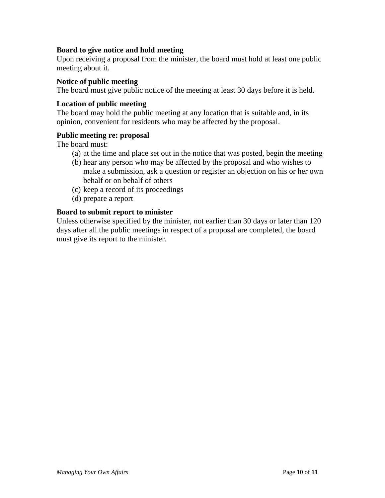### **Board to give notice and hold meeting**

Upon receiving a proposal from the minister, the board must hold at least one public meeting about it.

### **Notice of public meeting**

The board must give public notice of the meeting at least 30 days before it is held.

#### **Location of public meeting**

The board may hold the public meeting at any location that is suitable and, in its opinion, convenient for residents who may be affected by the proposal.

#### **Public meeting re: proposal**

The board must:

- (a) at the time and place set out in the notice that was posted, begin the meeting
- (b) hear any person who may be affected by the proposal and who wishes to make a submission, ask a question or register an objection on his or her own behalf or on behalf of others
- (c) keep a record of its proceedings
- (d) prepare a report

#### **Board to submit report to minister**

Unless otherwise specified by the minister, not earlier than 30 days or later than 120 days after all the public meetings in respect of a proposal are completed, the board must give its report to the minister.